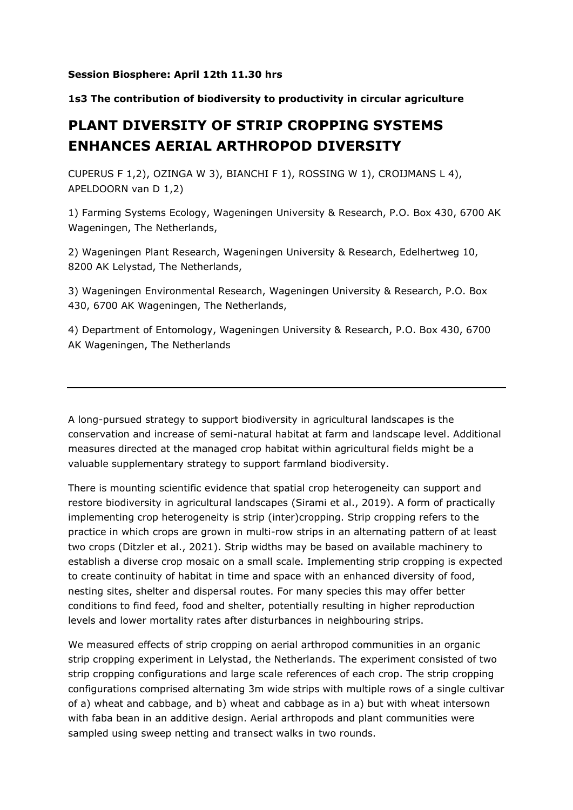## **Session Biosphere: April 12th 11.30 hrs**

## **1s3 The contribution of biodiversity to productivity in circular agriculture**

## **PLANT DIVERSITY OF STRIP CROPPING SYSTEMS ENHANCES AERIAL ARTHROPOD DIVERSITY**

CUPERUS F 1,2), OZINGA W 3), BIANCHI F 1), ROSSING W 1), CROIJMANS L 4), APELDOORN van D 1,2)

1) Farming Systems Ecology, Wageningen University & Research, P.O. Box 430, 6700 AK Wageningen, The Netherlands,

2) Wageningen Plant Research, Wageningen University & Research, Edelhertweg 10, 8200 AK Lelystad, The Netherlands,

3) Wageningen Environmental Research, Wageningen University & Research, P.O. Box 430, 6700 AK Wageningen, The Netherlands,

4) Department of Entomology, Wageningen University & Research, P.O. Box 430, 6700 AK Wageningen, The Netherlands

A long-pursued strategy to support biodiversity in agricultural landscapes is the conservation and increase of semi-natural habitat at farm and landscape level. Additional measures directed at the managed crop habitat within agricultural fields might be a valuable supplementary strategy to support farmland biodiversity.

There is mounting scientific evidence that spatial crop heterogeneity can support and restore biodiversity in agricultural landscapes (Sirami et al., 2019). A form of practically implementing crop heterogeneity is strip (inter)cropping. Strip cropping refers to the practice in which crops are grown in multi-row strips in an alternating pattern of at least two crops (Ditzler et al., 2021). Strip widths may be based on available machinery to establish a diverse crop mosaic on a small scale. Implementing strip cropping is expected to create continuity of habitat in time and space with an enhanced diversity of food, nesting sites, shelter and dispersal routes. For many species this may offer better conditions to find feed, food and shelter, potentially resulting in higher reproduction levels and lower mortality rates after disturbances in neighbouring strips.

We measured effects of strip cropping on aerial arthropod communities in an organic strip cropping experiment in Lelystad, the Netherlands. The experiment consisted of two strip cropping configurations and large scale references of each crop. The strip cropping configurations comprised alternating 3m wide strips with multiple rows of a single cultivar of a) wheat and cabbage, and b) wheat and cabbage as in a) but with wheat intersown with faba bean in an additive design. Aerial arthropods and plant communities were sampled using sweep netting and transect walks in two rounds.